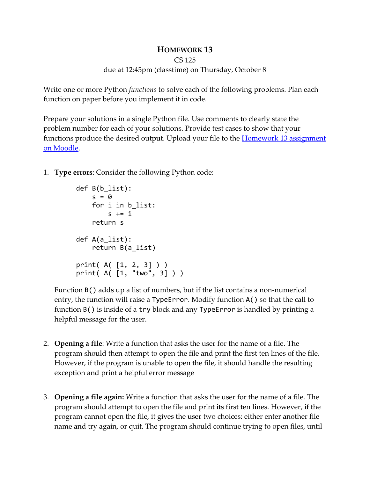## **HOMEWORK 13**

```
CS 125
```
## due at 12:45pm (classtime) on Thursday, October 8

Write one or more Python *functions* to solve each of the following problems. Plan each function on paper before you implement it in code.

Prepare your solutions in a single Python file. Use comments to clearly state the problem number for each of your solutions. Provide test cases to show that your functions produce the desired output. Upload your file to the **Homework 13 assignment** [on Moodle.](https://moodle-2020-21.stolaf.edu/mod/assign/view.php?id=42479)

1. **Type errors**: Consider the following Python code:

```
def B(b_list):
   s = 0 for i in b_list:
        s += i return s
def A(a_list):
     return B(a_list)
print( A( [1, 2, 3] ) )
print( A( [1, "two", 3] ) )
```
Function B() adds up a list of numbers, but if the list contains a non-numerical entry, the function will raise a TypeError. Modify function A() so that the call to function B() is inside of a try block and any TypeError is handled by printing a helpful message for the user.

- 2. **Opening a file**: Write a function that asks the user for the name of a file. The program should then attempt to open the file and print the first ten lines of the file. However, if the program is unable to open the file, it should handle the resulting exception and print a helpful error message
- 3. **Opening a file again:** Write a function that asks the user for the name of a file. The program should attempt to open the file and print its first ten lines. However, if the program cannot open the file, it gives the user two choices: either enter another file name and try again, or quit. The program should continue trying to open files, until